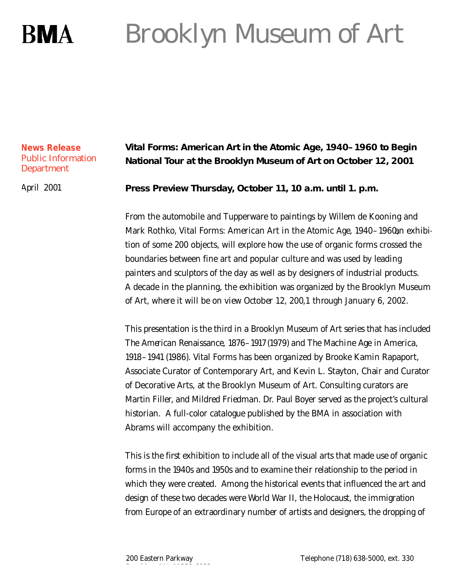# Brooklyn Museum of Art **RMA**

## **News Release** Public Information **Department**

April 2001

# **Vital Forms: American Art in the Atomic Age, 1940–1960 to Begin National Tour at the Brooklyn Museum of Art on October 12, 2001**

**Press Preview Thursday, October 11, 10 a.m. until 1. p.m.**

From the automobile and Tupperware to paintings by Willem de Kooning and Mark Rothko, *Vital Forms: American Art in the Atomic Age, 1940–1960*, nexhibition of some 200 objects, will explore how the use of organic forms crossed the boundaries between fine art and popular culture and was used by leading painters and sculptors of the day as well as by designers of industrial products. A decade in the planning, the exhibition was organized by the Brooklyn Museum of Art, where it will be on view October 12, 200,1 through January 6, 2002.

This presentation is the third in a Brooklyn Museum of Art series that has included *The American Renaissance, 1876–1917*(1979) and *The Machine Age in America*, *1918–1941* (1986). Vital Forms has been organized by Brooke Kamin Rapaport, Associate Curator of Contemporary Art, and Kevin L. Stayton, Chair and Curator of Decorative Arts, at the Brooklyn Museum of Art. Consulting curators are Martin Filler, and Mildred Friedman. Dr. Paul Boyer served as the project's cultural historian. A full-color catalogue published by the BMA in association with Abrams will accompany the exhibition.

This is the first exhibition to include all of the visual arts that made use of organic forms in the 1940s and 1950s and to examine their relationship to the period in which they were created. Among the historical events that influenced the art and design of these two decades were World War II, the Holocaust, the immigration from Europe of an extraordinary number of artists and designers, the dropping of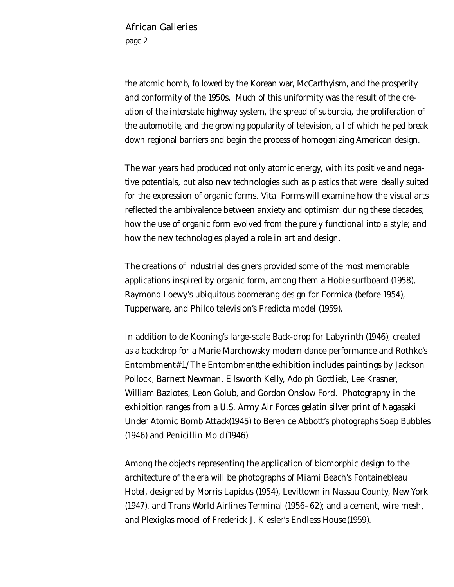### African Galleries

page 2

the atomic bomb, followed by the Korean war, McCarthyism, and the prosperity and conformity of the 1950s. Much of this uniformity was the result of the creation of the interstate highway system, the spread of suburbia, the proliferation of the automobile, and the growing popularity of television, all of which helped break down regional barriers and begin the process of homogenizing American design.

The war years had produced not only atomic energy, with its positive and negative potentials, but also new technologies such as plastics that were ideally suited for the expression of organic forms. *Vital Forms* will examine how the visual arts reflected the ambivalence between anxiety and optimism during these decades; how the use of organic form evolved from the purely functional into a style; and how the new technologies played a role in art and design.

The creations of industrial designers provided some of the most memorable applications inspired by organic form, among them a Hobie surfboard (1958), Raymond Loewy's ubiquitous boomerang design for Formica (before 1954), Tupperware, and Philco television's Predicta model (1959).

In addition to de Kooning's large-scale Back-drop for *Labyrinth* (1946), created as a backdrop for a Marie Marchowsky modern dance performance and Rothko's *Entombment#1/The Entombment*, the exhibition includes paintings by Jackson Pollock, Barnett Newman, Ellsworth Kelly, Adolph Gottlieb, Lee Krasner, William Baziotes, Leon Golub, and Gordon Onslow Ford. Photography in the exhibition ranges from a U.S. Army Air Forces gelatin silver print of *Nagasaki Under Atomic Bomb Attack* (1945) to Berenice Abbott's photographs *Soap Bubbles* (1946) and *Penicillin Mold*(1946).

Among the objects representing the application of biomorphic design to the architecture of the era will be photographs of Miami Beach's Fontainebleau Hotel, designed by Morris Lapidus (1954), Levittown in Nassau County, New York (1947), and Trans World Airlines Terminal (1956–62); and a cement, wire mesh, and Plexiglas model of Frederick J. Kiesler's *Endless House* (1959).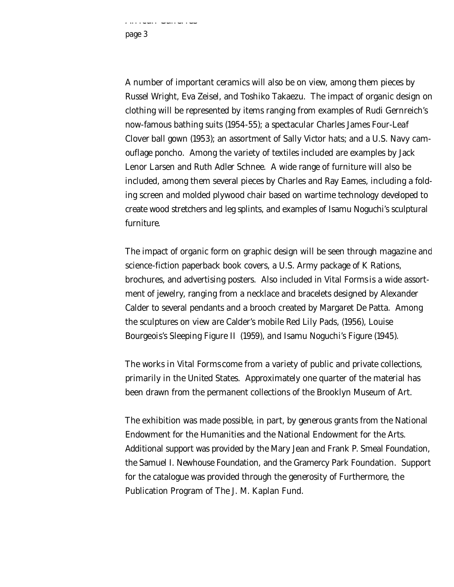page 3

aa Gallaassa asu

A number of important ceramics will also be on view, among them pieces by Russel Wright, Eva Zeisel, and Toshiko Takaezu. The impact of organic design on clothing will be represented by items ranging from examples of Rudi Gernreich's now-famous bathing suits (1954-55); a spectacular Charles James *Four-Leaf Clover* ball gown (1953); an assortment of Sally Victor hats; and a U.S. Navy camouflage poncho. Among the variety of textiles included are examples by Jack Lenor Larsen and Ruth Adler Schnee. A wide range of furniture will also be included, among them several pieces by Charles and Ray Eames, including a folding screen and molded plywood chair based on wartime technology developed to create wood stretchers and leg splints, and examples of Isamu Noguchi's sculptural furniture.

The impact of organic form on graphic design will be seen through magazine and science-fiction paperback book covers, a U.S. Army package of K Rations, brochures, and advertising posters. Also included in *Vital Forms* is a wide assortment of jewelry, ranging from a necklace and bracelets designed by Alexander Calder to several pendants and a brooch created by Margaret De Patta. Among the sculptures on view are Calder's mobile *Red Lily Pads,* (1956), Louise Bourgeois's *Sleeping Figure II* (1959), and Isamu Noguchi's *Figure* (1945).

The works in *Vital Forms* come from a variety of public and private collections, primarily in the United States. Approximately one quarter of the material has been drawn from the permanent collections of the Brooklyn Museum of Art.

The exhibition was made possible, in part, by generous grants from the National Endowment for the Humanities and the National Endowment for the Arts. Additional support was provided by the Mary Jean and Frank P. Smeal Foundation, the Samuel I. Newhouse Foundation, and the Gramercy Park Foundation. Support for the catalogue was provided through the generosity of Furthermore, the Publication Program of The J. M. Kaplan Fund.